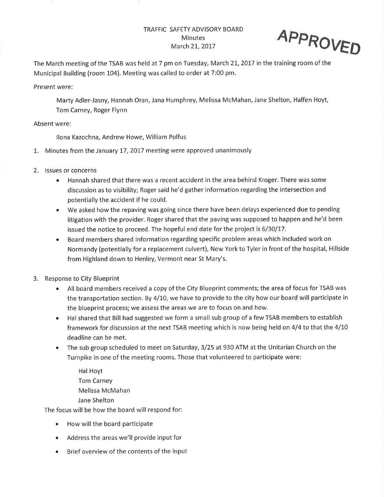## TRAFFIC SAFETY ADVISORY BOARD **Minutes** March 21, 2017



The March meeting of the TSAB was held at 7 pm on Tuesday, March 21, 2017 in the training room of the Municipal Building (room 104). Meeting was called to order at 7:00 pm.

Present were:

Marty Adler-Jasny, Hannah Oran, Jana Humphrey, Melissa McMahan, Jane Shelton, Halfen Hoyt, Tom Carney, Roger Flynn

Absent were:

llona Kazochna, Andrew Howe, William Polfus

- 1. Minutes from the January 17, 2017 meeting were approved unanimously
- 2. lssues or concerns
	- Hannah shared that there was a recent accident in the area behind Kroger. There was some discussion as to visibility; Roger said he'd gather information regarding the intersection and potentially the accident if he could.
	- We asked how the repaving was going since there have been delays experienced due to pending litigation with the provider. Roger shared that the paving was supposed to happen and he'd been issued the notice to proceed. The hopeful end date for the project is 6/3O/17.
	- o Board members shared information regarding specific problem areas which included work on Normandy (potentially for a replacement culvert), New York to Tyler in front of the hospital, Hillside from Highland down to Henley, Vermont near St Mary's.
- 3. Response to City Blueprint
	- All board members received a copy of the City Blueprint comments; the area of focus for TSAB was the transportation section. By 4/10, we have to provide to the city how our board will participate in the blueprint process; we assess the areas we are to focus on and how.
	- o Hal shared that Bill had suggested we form a small sub group of a few TSAB members to establish framework for discussion at the next TSAB meeting which is now being held on 4/4 to that the 4/IO deadline can be met.
	- The sub group scheduled to meet on Saturday, 3/25 at 930 ATM at the Unitarian Church on the Turnpike in one of the meeting rooms. Those that volunteered to participate were:

Hal Hoyt Tom Carney Melissa McMahan Jane Shelton

The focus will be how the board will respond for:

- How will the board participate
- Address the areas we'll provide input for
- Brief overview of the contents of the input